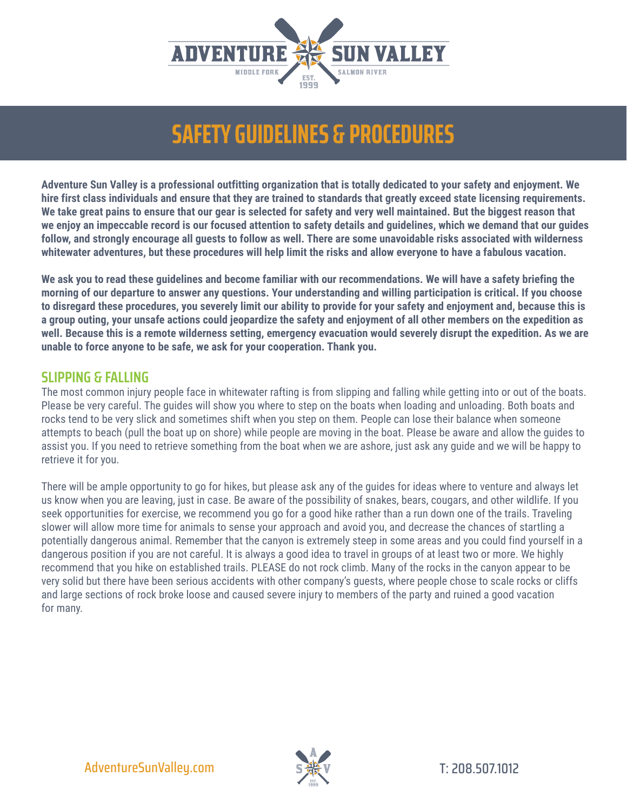

**Adventure Sun Valley is a professional outfitting organization that is totally dedicated to your safety and enjoyment. We hire first class individuals and ensure that they are trained to standards that greatly exceed state licensing requirements. We take great pains to ensure that our gear is selected for safety and very well maintained. But the biggest reason that we enjoy an impeccable record is our focused attention to safety details and guidelines, which we demand that our guides follow, and strongly encourage all guests to follow as well. There are some unavoidable risks associated with wilderness whitewater adventures, but these procedures will help limit the risks and allow everyone to have a fabulous vacation.**

**We ask you to read these guidelines and become familiar with our recommendations. We will have a safety briefing the morning of our departure to answer any questions. Your understanding and willing participation is critical. If you choose to disregard these procedures, you severely limit our ability to provide for your safety and enjoyment and, because this is a group outing, your unsafe actions could jeopardize the safety and enjoyment of all other members on the expedition as well. Because this is a remote wilderness setting, emergency evacuation would severely disrupt the expedition. As we are unable to force anyone to be safe, we ask for your cooperation. Thank you.**

### **SLIPPING & FALLING**

The most common injury people face in whitewater rafting is from slipping and falling while getting into or out of the boats. Please be very careful. The guides will show you where to step on the boats when loading and unloading. Both boats and rocks tend to be very slick and sometimes shift when you step on them. People can lose their balance when someone attempts to beach (pull the boat up on shore) while people are moving in the boat. Please be aware and allow the guides to assist you. If you need to retrieve something from the boat when we are ashore, just ask any guide and we will be happy to retrieve it for you.

There will be ample opportunity to go for hikes, but please ask any of the guides for ideas where to venture and always let us know when you are leaving, just in case. Be aware of the possibility of snakes, bears, cougars, and other wildlife. If you seek opportunities for exercise, we recommend you go for a good hike rather than a run down one of the trails. Traveling slower will allow more time for animals to sense your approach and avoid you, and decrease the chances of startling a potentially dangerous animal. Remember that the canyon is extremely steep in some areas and you could find yourself in a dangerous position if you are not careful. It is always a good idea to travel in groups of at least two or more. We highly recommend that you hike on established trails. PLEASE do not rock climb. Many of the rocks in the canyon appear to be very solid but there have been serious accidents with other company's guests, where people chose to scale rocks or cliffs and large sections of rock broke loose and caused severe injury to members of the party and ruined a good vacation for many.

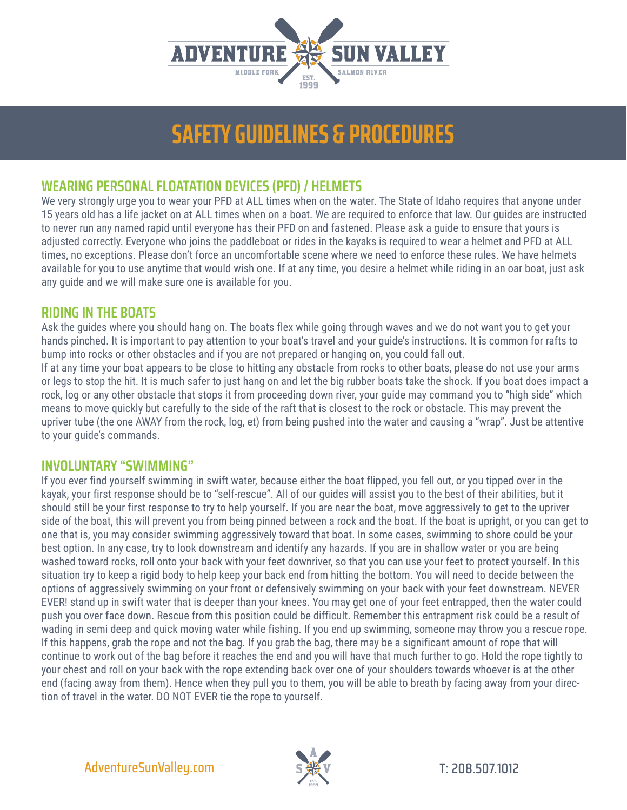

## **WEARING PERSONAL FLOATATION DEVICES (PFD) / HELMETS**

We very strongly urge you to wear your PFD at ALL times when on the water. The State of Idaho requires that anyone under 15 years old has a life jacket on at ALL times when on a boat. We are required to enforce that law. Our guides are instructed to never run any named rapid until everyone has their PFD on and fastened. Please ask a guide to ensure that yours is adjusted correctly. Everyone who joins the paddleboat or rides in the kayaks is required to wear a helmet and PFD at ALL times, no exceptions. Please don't force an uncomfortable scene where we need to enforce these rules. We have helmets available for you to use anytime that would wish one. If at any time, you desire a helmet while riding in an oar boat, just ask any guide and we will make sure one is available for you.

### **RIDING IN THE BOATS**

Ask the guides where you should hang on. The boats flex while going through waves and we do not want you to get your hands pinched. It is important to pay attention to your boat's travel and your guide's instructions. It is common for rafts to bump into rocks or other obstacles and if you are not prepared or hanging on, you could fall out.

If at any time your boat appears to be close to hitting any obstacle from rocks to other boats, please do not use your arms or legs to stop the hit. It is much safer to just hang on and let the big rubber boats take the shock. If you boat does impact a rock, log or any other obstacle that stops it from proceeding down river, your guide may command you to "high side" which means to move quickly but carefully to the side of the raft that is closest to the rock or obstacle. This may prevent the upriver tube (the one AWAY from the rock, log, et) from being pushed into the water and causing a "wrap". Just be attentive to your quide's commands.

#### **INVOLUNTARY "SWIMMING"**

If you ever find yourself swimming in swift water, because either the boat flipped, you fell out, or you tipped over in the kayak, your first response should be to "self-rescue". All of our guides will assist you to the best of their abilities, but it should still be your first response to try to help yourself. If you are near the boat, move aggressively to get to the upriver side of the boat, this will prevent you from being pinned between a rock and the boat. If the boat is upright, or you can get to one that is, you may consider swimming aggressively toward that boat. In some cases, swimming to shore could be your best option. In any case, try to look downstream and identify any hazards. If you are in shallow water or you are being washed toward rocks, roll onto your back with your feet downriver, so that you can use your feet to protect yourself. In this situation try to keep a rigid body to help keep your back end from hitting the bottom. You will need to decide between the options of aggressively swimming on your front or defensively swimming on your back with your feet downstream. NEVER EVER! stand up in swift water that is deeper than your knees. You may get one of your feet entrapped, then the water could push you over face down. Rescue from this position could be difficult. Remember this entrapment risk could be a result of wading in semi deep and quick moving water while fishing. If you end up swimming, someone may throw you a rescue rope. If this happens, grab the rope and not the bag. If you grab the bag, there may be a significant amount of rope that will continue to work out of the bag before it reaches the end and you will have that much further to go. Hold the rope tightly to your chest and roll on your back with the rope extending back over one of your shoulders towards whoever is at the other end (facing away from them). Hence when they pull you to them, you will be able to breath by facing away from your direction of travel in the water. DO NOT EVER tie the rope to yourself.

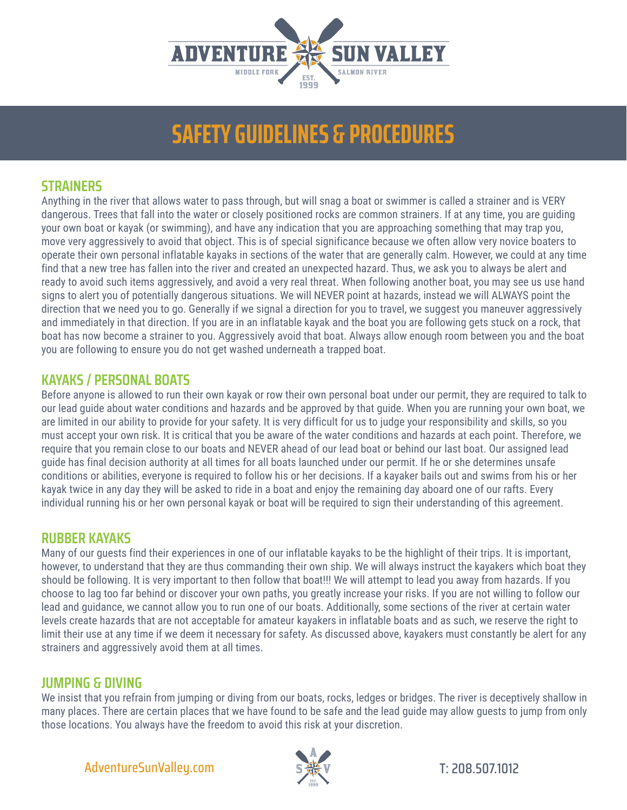

### **STRAINERS**

Anything in the river that allows water to pass through, but will snag a boat or swimmer is called a strainer and is VERY dangerous. Trees that fall into the water or closely positioned rocks are common strainers. If at any time, you are guiding your own boat or kayak (or swimming), and have any indication that you are approaching something that may trap you, move very aggressively to avoid that object. This is of special significance because we often allow very novice boaters to operate their own personal inflatable kayaks in sections of the water that are generally calm. However, we could at any time find that a new tree has fallen into the river and created an unexpected hazard. Thus, we ask you to always be alert and ready to avoid such items aggressively, and avoid a very real threat. When following another boat, you may see us use hand signs to alert you of potentially dangerous situations. We will NEVER point at hazards, instead we will ALWAYS point the direction that we need you to go. Generally if we signal a direction for you to travel, we suggest you maneuver aggressively and immediately in that direction. If you are in an inflatable kayak and the boat you are following gets stuck on a rock, that boat has now become a strainer to you. Aggressively avoid that boat. Always allow enough room between you and the boat you are following to ensure you do not get washed underneath a trapped boat.

### **KAYAKS / PERSONAL BOATS**

Before anyone is allowed to run their own kayak or row their own personal boat under our permit, they are required to talk to our lead guide about water conditions and hazards and be approved by that guide. When you are running your own boat, we are limited in our ability to provide for your safety. It is very difficult for us to judge your responsibility and skills, so you must accept your own risk. It is critical that you be aware of the water conditions and hazards at each point. Therefore, we require that you remain close to our boats and NEVER ahead of our lead boat or behind our last boat. Our assigned lead guide has final decision authority at all times for all boats launched under our permit. If he or she determines unsafe conditions or abilities, everyone is required to follow his or her decisions. If a kayaker bails out and swims from his or her kayak twice in any day they will be asked to ride in a boat and enjoy the remaining day aboard one of our rafts. Every individual running his or her own personal kayak or boat will be required to sign their understanding of this agreement.

#### **RUBBER KAYAKS**

Many of our guests find their experiences in one of our inflatable kayaks to be the highlight of their trips. It is important, however, to understand that they are thus commanding their own ship. We will always instruct the kayakers which boat they should be following. It is very important to then follow that boat!!! We will attempt to lead you away from hazards. If you choose to lag too far behind or discover your own paths, you greatly increase your risks. If you are not willing to follow our lead and guidance, we cannot allow you to run one of our boats. Additionally, some sections of the river at certain water levels create hazards that are not acceptable for amateur kayakers in inflatable boats and as such, we reserve the right to limit their use at any time if we deem it necessary for safety. As discussed above, kayakers must constantly be alert for any strainers and aggressively avoid them at all times.

#### **JUMPING & DIVING**

We insist that you refrain from jumping or diving from our boats, rocks, ledges or bridges. The river is deceptively shallow in many places. There are certain places that we have found to be safe and the lead guide may allow guests to jump from only those locations. You always have the freedom to avoid this risk at your discretion.